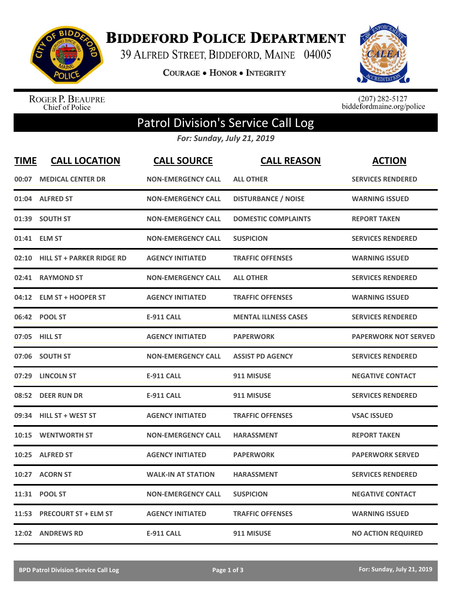

**BIDDEFORD POLICE DEPARTMENT** 

39 ALFRED STREET, BIDDEFORD, MAINE 04005

COURAGE . HONOR . INTEGRITY



ROGER P. BEAUPRE<br>Chief of Police

 $(207)$  282-5127<br>biddefordmaine.org/police

## Patrol Division's Service Call Log

*For: Sunday, July 21, 2019*

| <b>TIME</b> | <b>CALL LOCATION</b>             | <b>CALL SOURCE</b>        | <b>CALL REASON</b>          | <b>ACTION</b>               |
|-------------|----------------------------------|---------------------------|-----------------------------|-----------------------------|
| 00:07       | <b>MEDICAL CENTER DR</b>         | <b>NON-EMERGENCY CALL</b> | <b>ALL OTHER</b>            | <b>SERVICES RENDERED</b>    |
| 01:04       | <b>ALFRED ST</b>                 | <b>NON-EMERGENCY CALL</b> | <b>DISTURBANCE / NOISE</b>  | <b>WARNING ISSUED</b>       |
| 01:39       | <b>SOUTH ST</b>                  | <b>NON-EMERGENCY CALL</b> | <b>DOMESTIC COMPLAINTS</b>  | <b>REPORT TAKEN</b>         |
|             | 01:41 ELM ST                     | <b>NON-EMERGENCY CALL</b> | <b>SUSPICION</b>            | <b>SERVICES RENDERED</b>    |
| 02:10       | <b>HILL ST + PARKER RIDGE RD</b> | <b>AGENCY INITIATED</b>   | <b>TRAFFIC OFFENSES</b>     | <b>WARNING ISSUED</b>       |
|             | 02:41 RAYMOND ST                 | <b>NON-EMERGENCY CALL</b> | <b>ALL OTHER</b>            | <b>SERVICES RENDERED</b>    |
| 04:12       | <b>ELM ST + HOOPER ST</b>        | <b>AGENCY INITIATED</b>   | <b>TRAFFIC OFFENSES</b>     | <b>WARNING ISSUED</b>       |
|             | 06:42 POOL ST                    | <b>E-911 CALL</b>         | <b>MENTAL ILLNESS CASES</b> | <b>SERVICES RENDERED</b>    |
| 07:05       | <b>HILL ST</b>                   | <b>AGENCY INITIATED</b>   | <b>PAPERWORK</b>            | <b>PAPERWORK NOT SERVED</b> |
|             | 07:06 SOUTH ST                   | <b>NON-EMERGENCY CALL</b> | <b>ASSIST PD AGENCY</b>     | <b>SERVICES RENDERED</b>    |
|             | 07:29 LINCOLN ST                 | <b>E-911 CALL</b>         | 911 MISUSE                  | <b>NEGATIVE CONTACT</b>     |
| 08:52       | <b>DEER RUN DR</b>               | <b>E-911 CALL</b>         | 911 MISUSE                  | <b>SERVICES RENDERED</b>    |
| 09:34       | <b>HILL ST + WEST ST</b>         | <b>AGENCY INITIATED</b>   | <b>TRAFFIC OFFENSES</b>     | <b>VSAC ISSUED</b>          |
| 10:15       | <b>WENTWORTH ST</b>              | <b>NON-EMERGENCY CALL</b> | <b>HARASSMENT</b>           | <b>REPORT TAKEN</b>         |
| 10:25       | <b>ALFRED ST</b>                 | <b>AGENCY INITIATED</b>   | <b>PAPERWORK</b>            | <b>PAPERWORK SERVED</b>     |
| 10:27       | <b>ACORN ST</b>                  | <b>WALK-IN AT STATION</b> | <b>HARASSMENT</b>           | <b>SERVICES RENDERED</b>    |
|             | 11:31 POOL ST                    | <b>NON-EMERGENCY CALL</b> | <b>SUSPICION</b>            | <b>NEGATIVE CONTACT</b>     |
| 11:53       | <b>PRECOURT ST + ELM ST</b>      | <b>AGENCY INITIATED</b>   | <b>TRAFFIC OFFENSES</b>     | <b>WARNING ISSUED</b>       |
|             | 12:02 ANDREWS RD                 | <b>E-911 CALL</b>         | 911 MISUSE                  | <b>NO ACTION REQUIRED</b>   |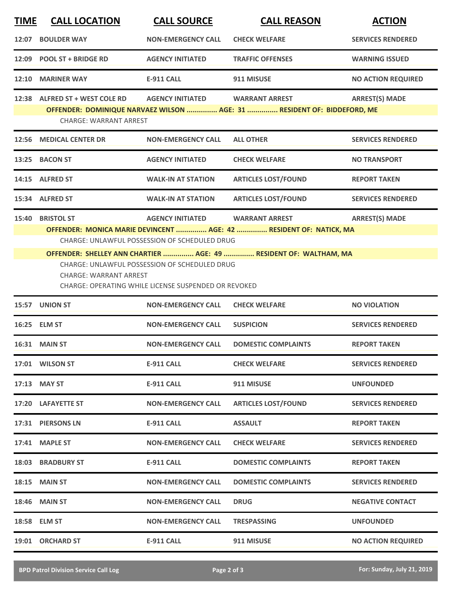| <b>TIME</b> | <b>CALL LOCATION</b>           | <b>CALL SOURCE</b>                                   | <b>CALL REASON</b>                                                      | <b>ACTION</b>             |
|-------------|--------------------------------|------------------------------------------------------|-------------------------------------------------------------------------|---------------------------|
| 12:07       | <b>BOULDER WAY</b>             | <b>NON-EMERGENCY CALL</b>                            | <b>CHECK WELFARE</b>                                                    | <b>SERVICES RENDERED</b>  |
|             | 12:09 POOL ST + BRIDGE RD      | <b>AGENCY INITIATED</b>                              | <b>TRAFFIC OFFENSES</b>                                                 | <b>WARNING ISSUED</b>     |
| 12:10       | <b>MARINER WAY</b>             | <b>E-911 CALL</b>                                    | 911 MISUSE                                                              | <b>NO ACTION REQUIRED</b> |
|             | 12:38 ALFRED ST + WEST COLE RD | <b>AGENCY INITIATED</b>                              | <b>WARRANT ARREST</b>                                                   | <b>ARREST(S) MADE</b>     |
|             | <b>CHARGE: WARRANT ARREST</b>  |                                                      | OFFENDER: DOMINIQUE NARVAEZ WILSON  AGE: 31  RESIDENT OF: BIDDEFORD, ME |                           |
| 12:56       | <b>MEDICAL CENTER DR</b>       | <b>NON-EMERGENCY CALL</b>                            | <b>ALL OTHER</b>                                                        | <b>SERVICES RENDERED</b>  |
|             | 13:25 BACON ST                 | <b>AGENCY INITIATED</b>                              | <b>CHECK WELFARE</b>                                                    | <b>NO TRANSPORT</b>       |
|             | 14:15 ALFRED ST                | <b>WALK-IN AT STATION</b>                            | <b>ARTICLES LOST/FOUND</b>                                              | <b>REPORT TAKEN</b>       |
|             | 15:34 ALFRED ST                | <b>WALK-IN AT STATION</b>                            | <b>ARTICLES LOST/FOUND</b>                                              | <b>SERVICES RENDERED</b>  |
|             | 15:40 BRISTOL ST               | <b>AGENCY INITIATED</b>                              | <b>WARRANT ARREST</b>                                                   | <b>ARREST(S) MADE</b>     |
|             |                                | CHARGE: UNLAWFUL POSSESSION OF SCHEDULED DRUG        | OFFENDER: MONICA MARIE DEVINCENT  AGE: 42  RESIDENT OF: NATICK, MA      |                           |
|             |                                |                                                      |                                                                         |                           |
|             |                                | CHARGE: UNLAWFUL POSSESSION OF SCHEDULED DRUG        | OFFENDER: SHELLEY ANN CHARTIER  AGE: 49  RESIDENT OF: WALTHAM, MA       |                           |
|             | <b>CHARGE: WARRANT ARREST</b>  |                                                      |                                                                         |                           |
|             |                                | CHARGE: OPERATING WHILE LICENSE SUSPENDED OR REVOKED |                                                                         |                           |
|             | 15:57 UNION ST                 | <b>NON-EMERGENCY CALL</b>                            | <b>CHECK WELFARE</b>                                                    | <b>NO VIOLATION</b>       |
|             |                                |                                                      |                                                                         |                           |
| 16:25       | <b>ELM ST</b>                  | <b>NON-EMERGENCY CALL</b>                            | <b>SUSPICION</b>                                                        | <b>SERVICES RENDERED</b>  |
|             | <b>16:31 MAIN ST</b>           | <b>NON-EMERGENCY CALL</b>                            | <b>DOMESTIC COMPLAINTS</b>                                              | <b>REPORT TAKEN</b>       |
|             | 17:01 WILSON ST                | <b>E-911 CALL</b>                                    | <b>CHECK WELFARE</b>                                                    | <b>SERVICES RENDERED</b>  |
|             | 17:13 MAY ST                   | E-911 CALL                                           | 911 MISUSE                                                              | <b>UNFOUNDED</b>          |
|             | 17:20 LAFAYETTE ST             | <b>NON-EMERGENCY CALL</b>                            | <b>ARTICLES LOST/FOUND</b>                                              | <b>SERVICES RENDERED</b>  |
|             | 17:31 PIERSONS LN              | E-911 CALL                                           | <b>ASSAULT</b>                                                          | <b>REPORT TAKEN</b>       |
|             | 17:41 MAPLE ST                 | <b>NON-EMERGENCY CALL</b>                            | <b>CHECK WELFARE</b>                                                    | <b>SERVICES RENDERED</b>  |
|             | <b>18:03 BRADBURY ST</b>       | E-911 CALL                                           | <b>DOMESTIC COMPLAINTS</b>                                              | <b>REPORT TAKEN</b>       |
|             | <b>18:15 MAIN ST</b>           | <b>NON-EMERGENCY CALL</b>                            | <b>DOMESTIC COMPLAINTS</b>                                              | <b>SERVICES RENDERED</b>  |
|             | <b>18:46 MAIN ST</b>           | <b>NON-EMERGENCY CALL</b>                            | <b>DRUG</b>                                                             | <b>NEGATIVE CONTACT</b>   |
|             | 18:58 ELM ST                   | <b>NON-EMERGENCY CALL</b>                            | <b>TRESPASSING</b>                                                      | <b>UNFOUNDED</b>          |
|             | 19:01 ORCHARD ST               | <b>E-911 CALL</b>                                    | 911 MISUSE                                                              | <b>NO ACTION REQUIRED</b> |
|             |                                |                                                      |                                                                         |                           |